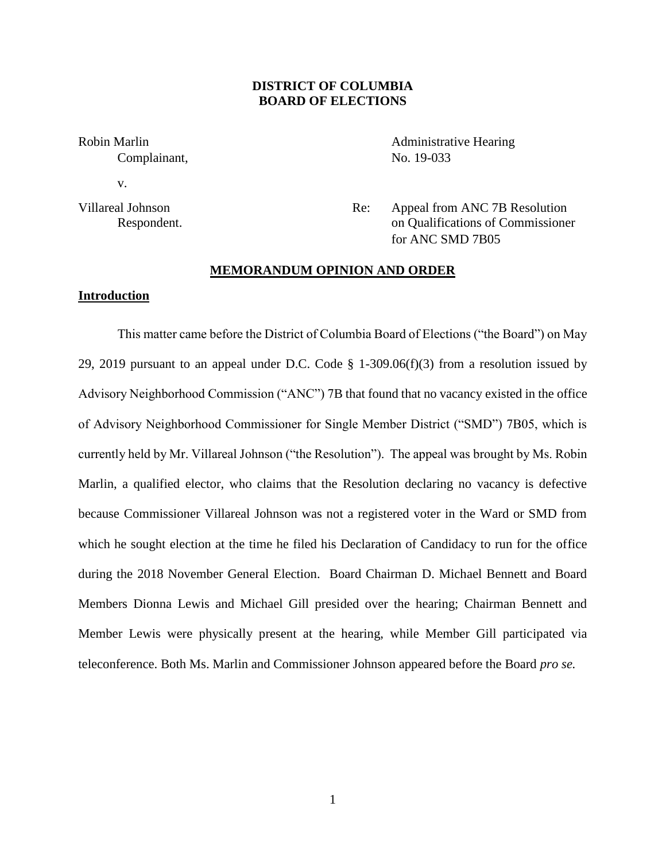# **DISTRICT OF COLUMBIA BOARD OF ELECTIONS**

Complainant, No. 19-033

v.

Robin Marlin **Administrative Hearing** 

Villareal Johnson Re: Appeal from ANC 7B Resolution Respondent. on Qualifications of Commissioner for ANC SMD 7B05

#### **MEMORANDUM OPINION AND ORDER**

## **Introduction**

This matter came before the District of Columbia Board of Elections ("the Board") on May 29, 2019 pursuant to an appeal under D.C. Code  $\S$  1-309.06(f)(3) from a resolution issued by Advisory Neighborhood Commission ("ANC") 7B that found that no vacancy existed in the office of Advisory Neighborhood Commissioner for Single Member District ("SMD") 7B05, which is currently held by Mr. Villareal Johnson ("the Resolution"). The appeal was brought by Ms. Robin Marlin, a qualified elector, who claims that the Resolution declaring no vacancy is defective because Commissioner Villareal Johnson was not a registered voter in the Ward or SMD from which he sought election at the time he filed his Declaration of Candidacy to run for the office during the 2018 November General Election. Board Chairman D. Michael Bennett and Board Members Dionna Lewis and Michael Gill presided over the hearing; Chairman Bennett and Member Lewis were physically present at the hearing, while Member Gill participated via teleconference. Both Ms. Marlin and Commissioner Johnson appeared before the Board *pro se.*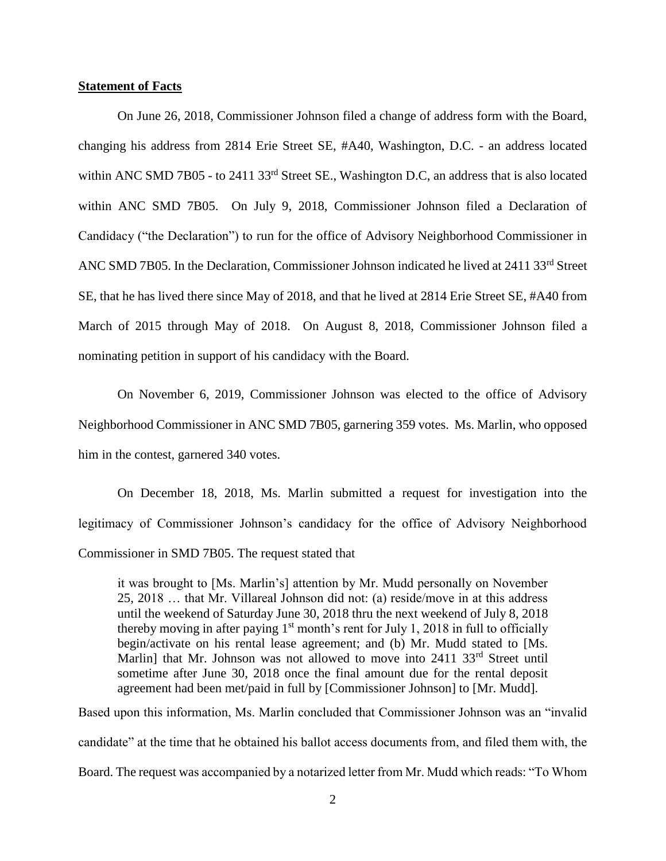### **Statement of Facts**

On June 26, 2018, Commissioner Johnson filed a change of address form with the Board, changing his address from 2814 Erie Street SE, #A40, Washington, D.C. - an address located within ANC SMD 7B05 - to 2411 33<sup>rd</sup> Street SE., Washington D.C, an address that is also located within ANC SMD 7B05. On July 9, 2018, Commissioner Johnson filed a Declaration of Candidacy ("the Declaration") to run for the office of Advisory Neighborhood Commissioner in ANC SMD 7B05. In the Declaration, Commissioner Johnson indicated he lived at 2411 33<sup>rd</sup> Street SE, that he has lived there since May of 2018, and that he lived at 2814 Erie Street SE, #A40 from March of 2015 through May of 2018. On August 8, 2018, Commissioner Johnson filed a nominating petition in support of his candidacy with the Board.

On November 6, 2019, Commissioner Johnson was elected to the office of Advisory Neighborhood Commissioner in ANC SMD 7B05, garnering 359 votes. Ms. Marlin, who opposed him in the contest, garnered 340 votes.

On December 18, 2018, Ms. Marlin submitted a request for investigation into the legitimacy of Commissioner Johnson's candidacy for the office of Advisory Neighborhood Commissioner in SMD 7B05. The request stated that

it was brought to [Ms. Marlin's] attention by Mr. Mudd personally on November 25, 2018 … that Mr. Villareal Johnson did not: (a) reside/move in at this address until the weekend of Saturday June 30, 2018 thru the next weekend of July 8, 2018 thereby moving in after paying  $1<sup>st</sup>$  month's rent for July 1, 2018 in full to officially begin/activate on his rental lease agreement; and (b) Mr. Mudd stated to [Ms. Marlin] that Mr. Johnson was not allowed to move into  $2411 \cdot 33^{rd}$  Street until sometime after June 30, 2018 once the final amount due for the rental deposit agreement had been met/paid in full by [Commissioner Johnson] to [Mr. Mudd].

Based upon this information, Ms. Marlin concluded that Commissioner Johnson was an "invalid candidate" at the time that he obtained his ballot access documents from, and filed them with, the Board. The request was accompanied by a notarized letter from Mr. Mudd which reads: "To Whom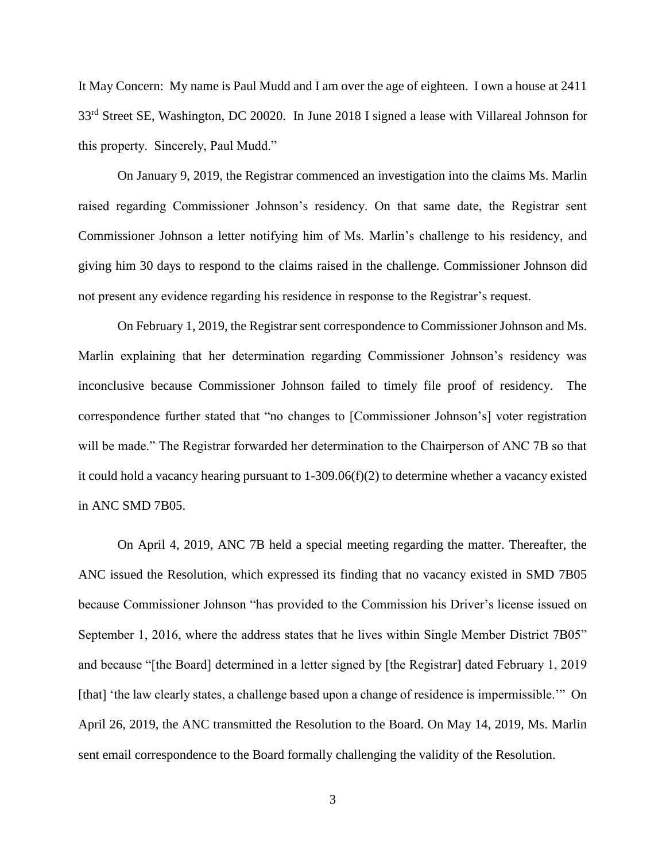It May Concern: My name is Paul Mudd and I am over the age of eighteen. I own a house at 2411 33rd Street SE, Washington, DC 20020. In June 2018 I signed a lease with Villareal Johnson for this property. Sincerely, Paul Mudd."

On January 9, 2019, the Registrar commenced an investigation into the claims Ms. Marlin raised regarding Commissioner Johnson's residency. On that same date, the Registrar sent Commissioner Johnson a letter notifying him of Ms. Marlin's challenge to his residency, and giving him 30 days to respond to the claims raised in the challenge. Commissioner Johnson did not present any evidence regarding his residence in response to the Registrar's request.

On February 1, 2019, the Registrar sent correspondence to Commissioner Johnson and Ms. Marlin explaining that her determination regarding Commissioner Johnson's residency was inconclusive because Commissioner Johnson failed to timely file proof of residency. The correspondence further stated that "no changes to [Commissioner Johnson's] voter registration will be made." The Registrar forwarded her determination to the Chairperson of ANC 7B so that it could hold a vacancy hearing pursuant to 1-309.06(f)(2) to determine whether a vacancy existed in ANC SMD 7B05.

On April 4, 2019, ANC 7B held a special meeting regarding the matter. Thereafter, the ANC issued the Resolution, which expressed its finding that no vacancy existed in SMD 7B05 because Commissioner Johnson "has provided to the Commission his Driver's license issued on September 1, 2016, where the address states that he lives within Single Member District 7B05" and because "[the Board] determined in a letter signed by [the Registrar] dated February 1, 2019 [that] 'the law clearly states, a challenge based upon a change of residence is impermissible.'" On April 26, 2019, the ANC transmitted the Resolution to the Board. On May 14, 2019, Ms. Marlin sent email correspondence to the Board formally challenging the validity of the Resolution.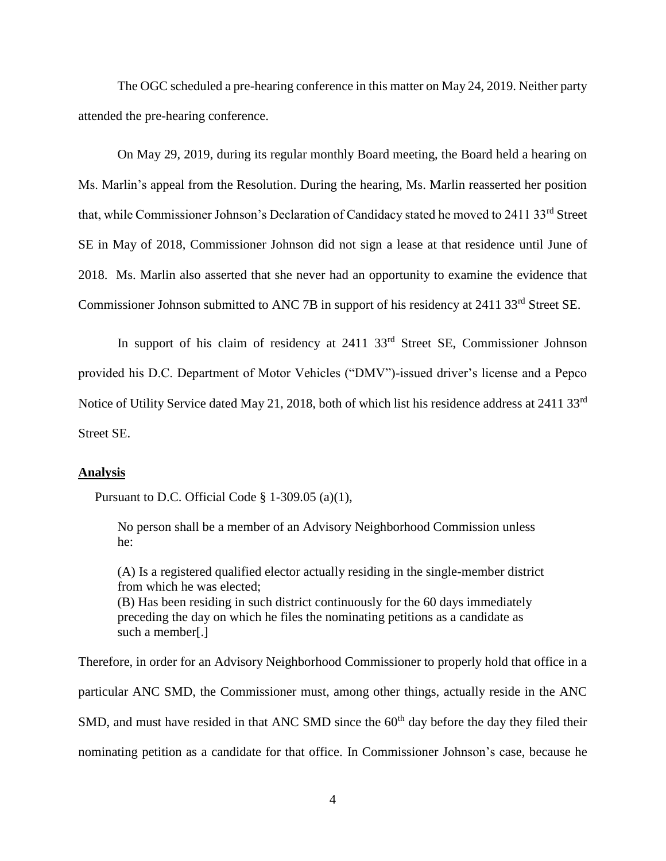The OGC scheduled a pre-hearing conference in this matter on May 24, 2019. Neither party attended the pre-hearing conference.

On May 29, 2019, during its regular monthly Board meeting, the Board held a hearing on Ms. Marlin's appeal from the Resolution. During the hearing, Ms. Marlin reasserted her position that, while Commissioner Johnson's Declaration of Candidacy stated he moved to 2411 33<sup>rd</sup> Street SE in May of 2018, Commissioner Johnson did not sign a lease at that residence until June of 2018. Ms. Marlin also asserted that she never had an opportunity to examine the evidence that Commissioner Johnson submitted to ANC 7B in support of his residency at 2411 33<sup>rd</sup> Street SE.

In support of his claim of residency at 2411 33rd Street SE, Commissioner Johnson provided his D.C. Department of Motor Vehicles ("DMV")-issued driver's license and a Pepco Notice of Utility Service dated May 21, 2018, both of which list his residence address at 2411 33rd Street SE.

#### **Analysis**

Pursuant to D.C. Official Code § 1-309.05 (a)(1),

No person shall be a member of an Advisory Neighborhood Commission unless he:

(A) Is a registered qualified elector actually residing in the single-member district from which he was elected; (B) Has been residing in such district continuously for the 60 days immediately preceding the day on which he files the nominating petitions as a candidate as such a member[.]

Therefore, in order for an Advisory Neighborhood Commissioner to properly hold that office in a particular ANC SMD, the Commissioner must, among other things, actually reside in the ANC SMD, and must have resided in that ANC SMD since the  $60<sup>th</sup>$  day before the day they filed their nominating petition as a candidate for that office. In Commissioner Johnson's case, because he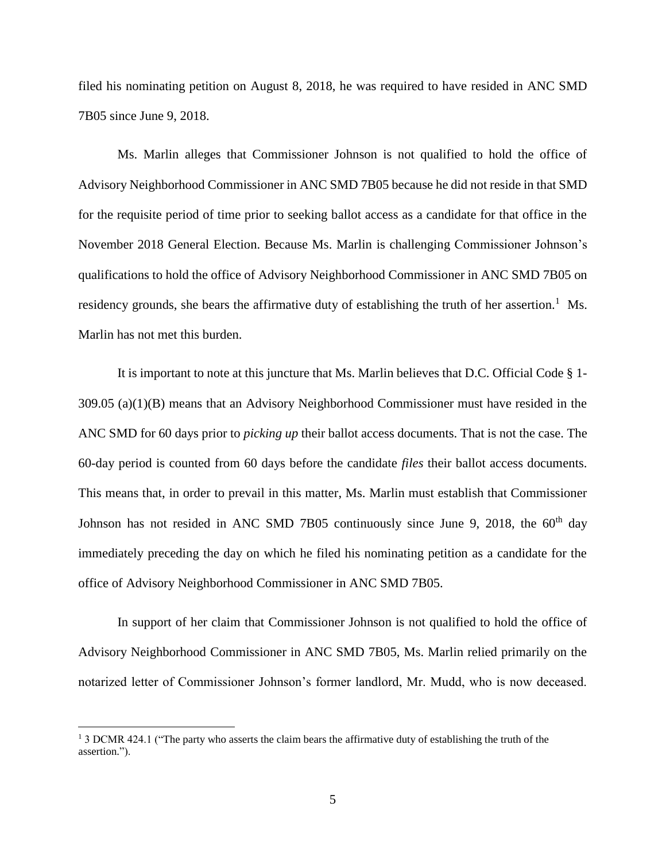filed his nominating petition on August 8, 2018, he was required to have resided in ANC SMD 7B05 since June 9, 2018.

Ms. Marlin alleges that Commissioner Johnson is not qualified to hold the office of Advisory Neighborhood Commissioner in ANC SMD 7B05 because he did not reside in that SMD for the requisite period of time prior to seeking ballot access as a candidate for that office in the November 2018 General Election. Because Ms. Marlin is challenging Commissioner Johnson's qualifications to hold the office of Advisory Neighborhood Commissioner in ANC SMD 7B05 on residency grounds, she bears the affirmative duty of establishing the truth of her assertion.<sup>1</sup> Ms. Marlin has not met this burden.

It is important to note at this juncture that Ms. Marlin believes that D.C. Official Code § 1- 309.05 (a)(1)(B) means that an Advisory Neighborhood Commissioner must have resided in the ANC SMD for 60 days prior to *picking up* their ballot access documents. That is not the case. The 60-day period is counted from 60 days before the candidate *files* their ballot access documents. This means that, in order to prevail in this matter, Ms. Marlin must establish that Commissioner Johnson has not resided in ANC SMD 7B05 continuously since June 9, 2018, the  $60<sup>th</sup>$  day immediately preceding the day on which he filed his nominating petition as a candidate for the office of Advisory Neighborhood Commissioner in ANC SMD 7B05.

In support of her claim that Commissioner Johnson is not qualified to hold the office of Advisory Neighborhood Commissioner in ANC SMD 7B05, Ms. Marlin relied primarily on the notarized letter of Commissioner Johnson's former landlord, Mr. Mudd, who is now deceased.

 $\overline{a}$ 

<sup>&</sup>lt;sup>1</sup> 3 DCMR 424.1 ("The party who asserts the claim bears the affirmative duty of establishing the truth of the assertion.").